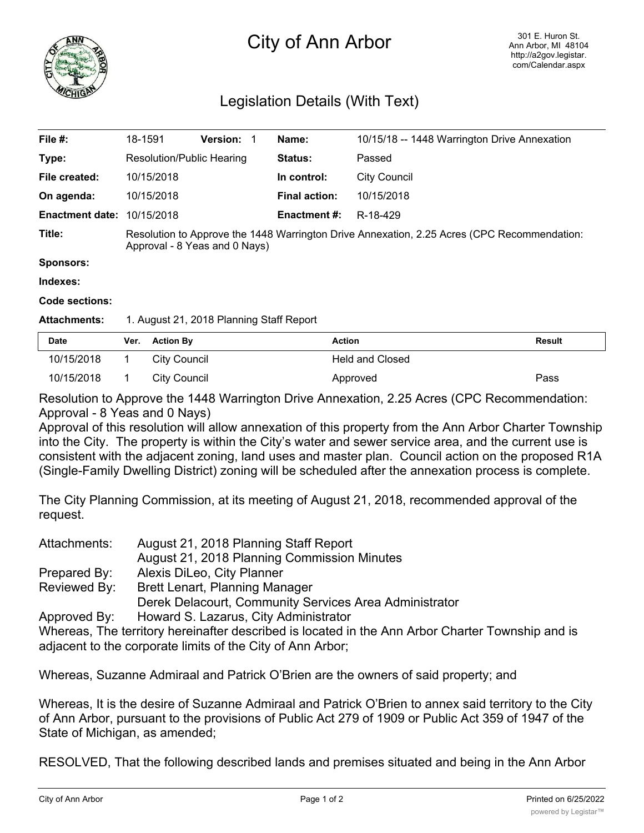

## City of Ann Arbor

## Legislation Details (With Text)

| File #:                           | 18-1591                                                                                                                      | <b>Version:</b> | Name:                | 10/15/18 -- 1448 Warrington Drive Annexation |  |
|-----------------------------------|------------------------------------------------------------------------------------------------------------------------------|-----------------|----------------------|----------------------------------------------|--|
| Type:                             | Resolution/Public Hearing                                                                                                    |                 | Status:              | Passed                                       |  |
| File created:                     | 10/15/2018                                                                                                                   |                 | In control:          | <b>City Council</b>                          |  |
| On agenda:                        | 10/15/2018                                                                                                                   |                 | <b>Final action:</b> | 10/15/2018                                   |  |
| <b>Enactment date: 10/15/2018</b> |                                                                                                                              |                 | Enactment #:         | R-18-429                                     |  |
| Title:                            | Resolution to Approve the 1448 Warrington Drive Annexation, 2.25 Acres (CPC Recommendation:<br>Approval - 8 Yeas and 0 Nays) |                 |                      |                                              |  |
| Sponsors:                         |                                                                                                                              |                 |                      |                                              |  |

**Indexes:**

**Code sections:**

**Attachments:** 1. August 21, 2018 Planning Staff Report

| <b>Date</b> | Ver. Action By | Action                 | Result |
|-------------|----------------|------------------------|--------|
| 10/15/2018  | City Council   | <b>Held and Closed</b> |        |
| 10/15/2018  | City Council   | Approved               | Pass   |

Resolution to Approve the 1448 Warrington Drive Annexation, 2.25 Acres (CPC Recommendation: Approval - 8 Yeas and 0 Nays)

Approval of this resolution will allow annexation of this property from the Ann Arbor Charter Township into the City. The property is within the City's water and sewer service area, and the current use is consistent with the adjacent zoning, land uses and master plan. Council action on the proposed R1A (Single-Family Dwelling District) zoning will be scheduled after the annexation process is complete.

The City Planning Commission, at its meeting of August 21, 2018, recommended approval of the request.

| Attachments: | August 21, 2018 Planning Staff Report                  |
|--------------|--------------------------------------------------------|
|              | August 21, 2018 Planning Commission Minutes            |
| Prepared By: | Alexis DiLeo, City Planner                             |
| Reviewed By: | <b>Brett Lenart, Planning Manager</b>                  |
|              | Derek Delacourt, Community Services Area Administrator |
| Approved By: | Howard S. Lazarus, City Administrator                  |

Whereas, The territory hereinafter described is located in the Ann Arbor Charter Township and is adjacent to the corporate limits of the City of Ann Arbor;

Whereas, Suzanne Admiraal and Patrick O'Brien are the owners of said property; and

Whereas, It is the desire of Suzanne Admiraal and Patrick O'Brien to annex said territory to the City of Ann Arbor, pursuant to the provisions of Public Act 279 of 1909 or Public Act 359 of 1947 of the State of Michigan, as amended;

RESOLVED, That the following described lands and premises situated and being in the Ann Arbor